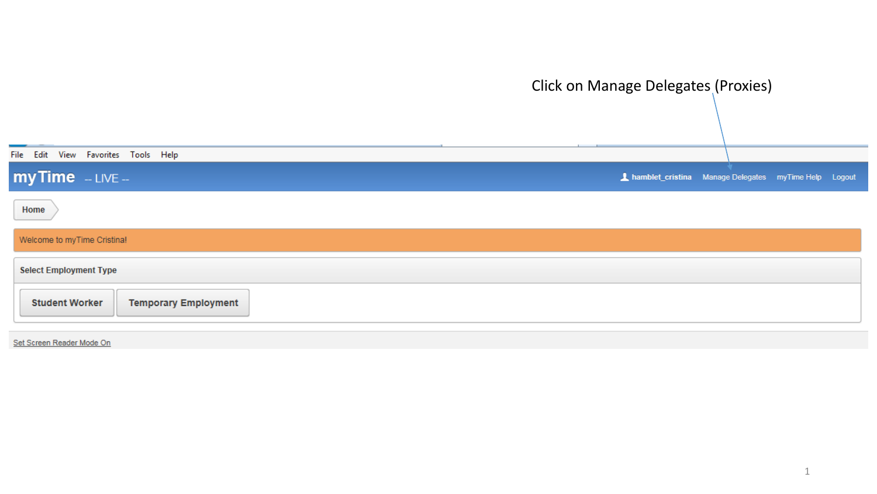|                                                      | Click on Manage Delegates (Proxies)                    |
|------------------------------------------------------|--------------------------------------------------------|
| File Edit View Favorites Tools Help                  |                                                        |
| $myTime$ - LIVE -                                    | A hamblet_cristina Manage Delegates myTime Help Logout |
| Home                                                 |                                                        |
| Welcome to myTime Cristina!                          |                                                        |
| <b>Select Employment Type</b>                        |                                                        |
| <b>Temporary Employment</b><br><b>Student Worker</b> |                                                        |

Set Screen Reader Mode On

۰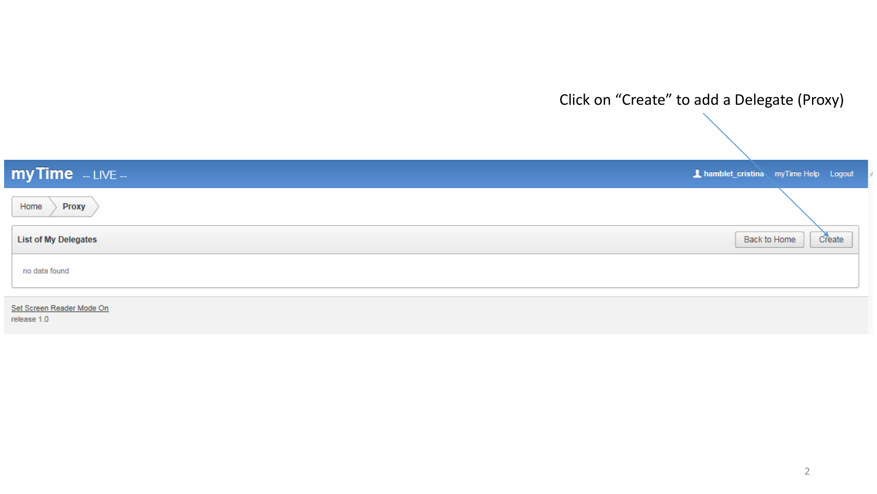

2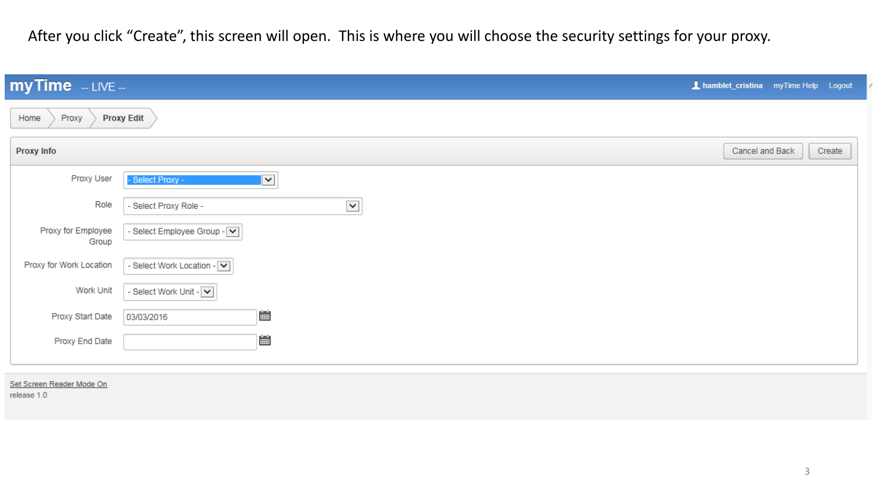After you click "Create", this screen will open. This is where you will choose the security settings for your proxy.

| $myTime$ - LIVE -                  |                                               | A hamblet_cristina myTime Help Logout |  |  |
|------------------------------------|-----------------------------------------------|---------------------------------------|--|--|
| <b>Proxy Edit</b><br>Home<br>Proxy |                                               |                                       |  |  |
| Proxy Info                         |                                               | Cancel and Back<br>Create             |  |  |
| Proxy User                         | - Select Proxy -<br>$\overline{\mathbf{v}}$   |                                       |  |  |
| Role                               | $\blacktriangledown$<br>- Select Proxy Role - |                                       |  |  |
| Proxy for Employee<br>Group        | - Select Employee Group - V                   |                                       |  |  |
| Proxy for Work Location            | - Select Work Location - V                    |                                       |  |  |
| Work Unit                          | - Select Work Unit - V                        |                                       |  |  |
| Proxy Start Date                   | 匾<br>03/03/2016                               |                                       |  |  |
| Proxy End Date                     | 圖                                             |                                       |  |  |
|                                    |                                               |                                       |  |  |

## Set Screen Reader Mode On

release 1.0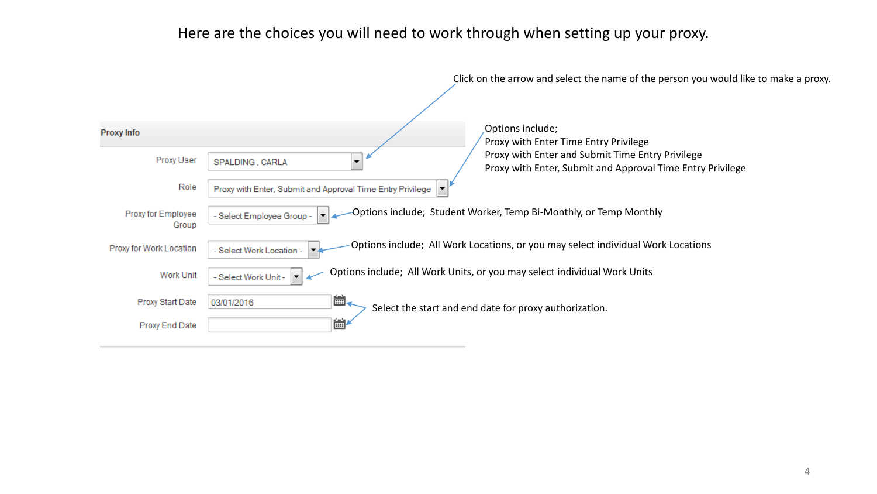## Here are the choices you will need to work through when setting up your proxy.

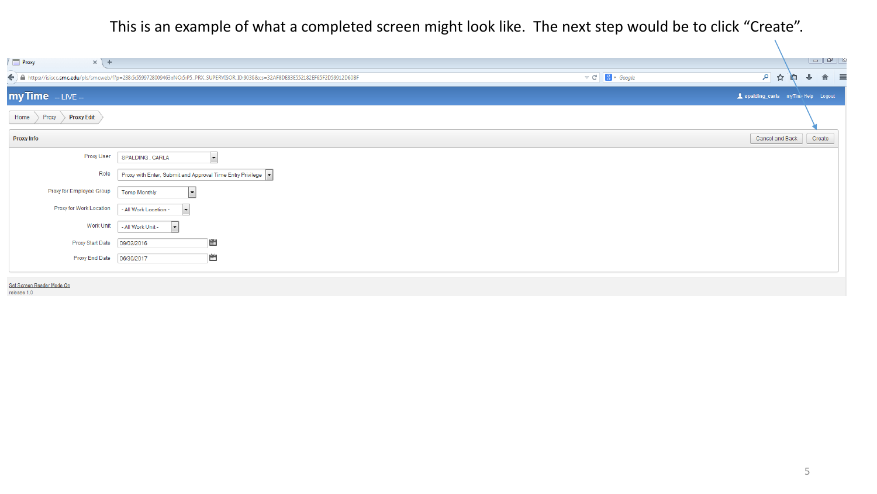This is an example of what a completed screen might look like. The next step would be to click "Create".

| $\sqrt{2}$ Proxy<br>$\times$ +           |                                                                                                                                                                                                |                                                                        |
|------------------------------------------|------------------------------------------------------------------------------------------------------------------------------------------------------------------------------------------------|------------------------------------------------------------------------|
|                                          | $\triangledown$ C $\big \big $ 8 $\triangledown$ Google<br>←) A https://isiscc.smc.edu/pls/smcweb/f?p=288:5:5599728009463::NO:5:P5_PRX_SUPERVISOR_ID:9036&cs=32AF8DE83E552182EF65F2D59912D60BF | $\hat{\mathbf{n}}$ =<br>$\mathsf{P}$<br>☆<br>嶂<br>$\ddot{\phantom{1}}$ |
| $myTime$ - LIVE -                        |                                                                                                                                                                                                | Spalding_carla myTime Help Logout                                      |
| Proxy Edit<br>Proxy<br>Home              |                                                                                                                                                                                                |                                                                        |
| <b>Proxy Info</b>                        |                                                                                                                                                                                                | Cancel and Back<br>Create                                              |
| Proxy User                               | $\boxed{\blacksquare}$<br>SPALDING, CARLA                                                                                                                                                      |                                                                        |
| Role                                     | Proxy with Enter, Submit and Approval Time Entry Privilege                                                                                                                                     |                                                                        |
| Proxy for Employee Group                 | $\vert \cdot \vert$<br><b>Temp Monthly</b>                                                                                                                                                     |                                                                        |
| Proxy for Work Location                  | $\vert \cdot \vert$<br>- All Work Location -                                                                                                                                                   |                                                                        |
| Work Unit                                | $\overline{\phantom{a}}$<br>- All Work Unit -                                                                                                                                                  |                                                                        |
| Proxy Start Date                         | 圖<br>09/02/2016                                                                                                                                                                                |                                                                        |
| Proxy End Date                           | E<br>06/30/2017                                                                                                                                                                                |                                                                        |
|                                          |                                                                                                                                                                                                |                                                                        |
| Set Screen Reader Mode On<br>release 1 0 |                                                                                                                                                                                                |                                                                        |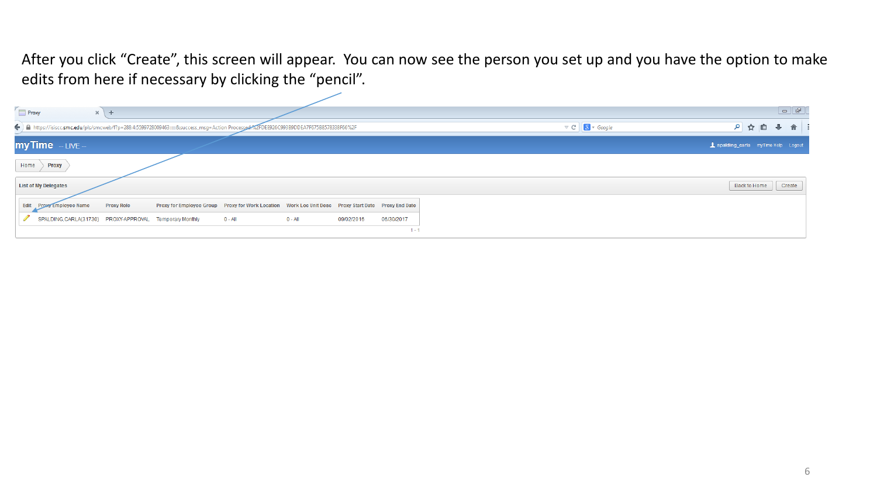After you click "Create", this screen will appear. You can now see the person you set up and you have the option to make edits from here if necessary by clicking the "pencil".

| Proxy                                                                                                                               |                                                                                                     |            |            |                                                        |              | $\Box$ |  |
|-------------------------------------------------------------------------------------------------------------------------------------|-----------------------------------------------------------------------------------------------------|------------|------------|--------------------------------------------------------|--------------|--------|--|
| $x +$                                                                                                                               |                                                                                                     |            |            |                                                        |              |        |  |
| ← Attps://isiscc.smc.edu/pls/smcweb/f?p=288:4:5599728009463:::::&success_msg=Action Processed%ZFDEE926C993B9DDEA7F675B8578338F66%2F |                                                                                                     |            |            | $\triangledown$ C' $\bigotimes$ $\triangledown$ Google | P ☆ 自 ↓ 合 :  |        |  |
| my Time - LIVE -                                                                                                                    |                                                                                                     |            |            | 1 spalding_carla myTime Help Logout                    |              |        |  |
| Home<br>Proxy                                                                                                                       |                                                                                                     |            |            |                                                        |              |        |  |
| <b>List of My Delegates</b>                                                                                                         |                                                                                                     |            |            |                                                        | Back to Home | Create |  |
| <b>Proxy Role</b><br>Edit Proxy Employee Name                                                                                       | Proxy for Employee Group Proxy for Work Location Work Loc Unit Desc Proxy Start Date Proxy End Date |            |            |                                                        |              |        |  |
| SPALDING, CARLA(31730) PROXY-APPROVAL Temporary Monthly                                                                             | $0 - All$<br>$0 - All$                                                                              | 09/02/2016 | 06/30/2017 |                                                        |              |        |  |
|                                                                                                                                     |                                                                                                     |            | $1 - 1$    |                                                        |              |        |  |